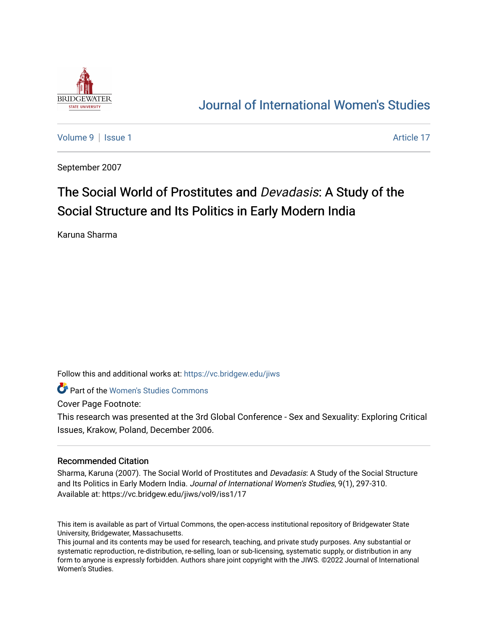

# [Journal of International Women's Studies](https://vc.bridgew.edu/jiws)

[Volume 9](https://vc.bridgew.edu/jiws/vol9) | [Issue 1](https://vc.bridgew.edu/jiws/vol9/iss1) Article 17

September 2007

# The Social World of Prostitutes and Devadasis: A Study of the Social Structure and Its Politics in Early Modern India

Karuna Sharma

Follow this and additional works at: [https://vc.bridgew.edu/jiws](https://vc.bridgew.edu/jiws?utm_source=vc.bridgew.edu%2Fjiws%2Fvol9%2Fiss1%2F17&utm_medium=PDF&utm_campaign=PDFCoverPages)

**C** Part of the Women's Studies Commons

Cover Page Footnote:

This research was presented at the 3rd Global Conference - Sex and Sexuality: Exploring Critical Issues, Krakow, Poland, December 2006.

#### Recommended Citation

Sharma, Karuna (2007). The Social World of Prostitutes and *Devadasis*: A Study of the Social Structure and Its Politics in Early Modern India. Journal of International Women's Studies, 9(1), 297-310. Available at: https://vc.bridgew.edu/jiws/vol9/iss1/17

This item is available as part of Virtual Commons, the open-access institutional repository of Bridgewater State University, Bridgewater, Massachusetts.

This journal and its contents may be used for research, teaching, and private study purposes. Any substantial or systematic reproduction, re-distribution, re-selling, loan or sub-licensing, systematic supply, or distribution in any form to anyone is expressly forbidden. Authors share joint copyright with the JIWS. ©2022 Journal of International Women's Studies.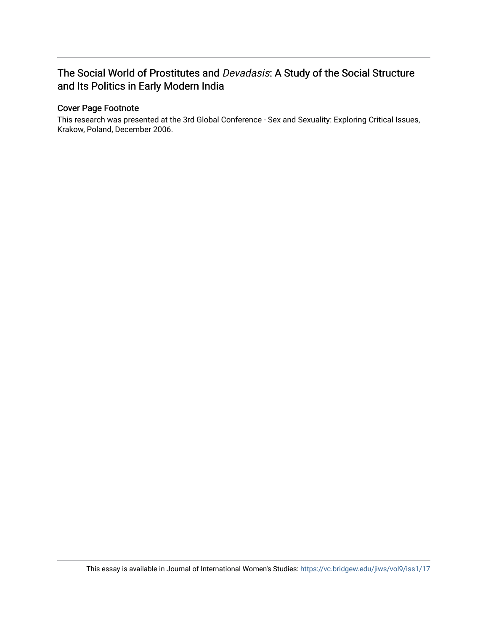## The Social World of Prostitutes and Devadasis: A Study of the Social Structure and Its Politics in Early Modern India

### Cover Page Footnote

This research was presented at the 3rd Global Conference - Sex and Sexuality: Exploring Critical Issues, Krakow, Poland, December 2006.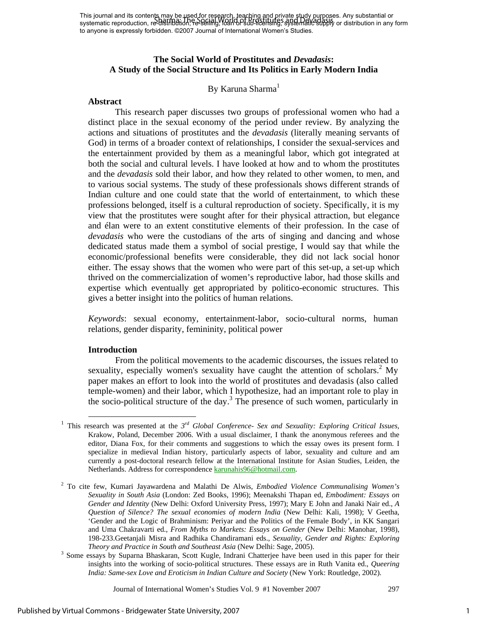This journal and its contents may be used for research, teaching and private study purposes. Any substantial or This journal and its content may be the Society of Prostitutes and Proster and Devices. Any substantial or sub-<br>systematic reproduction, re-distribution, Fe-Seling, Ioan op sub-licensing, systematic supply or distribution to anyone is expressly forbidden. ©2007 Journal of International Women's Studies.

### **The Social World of Prostitutes and** *Devadasis***: A Study of the Social Structure and Its Politics in Early Modern India**

#### By Karuna Sharma<sup>1</sup>

#### **Abstract**

This research paper discusses two groups of professional women who had a distinct place in the sexual economy of the period under review. By analyzing the actions and situations of prostitutes and the *devadasis* (literally meaning servants of God) in terms of a broader context of relationships, I consider the sexual-services and the entertainment provided by them as a meaningful labor, which got integrated at both the social and cultural levels. I have looked at how and to whom the prostitutes and the *devadasis* sold their labor, and how they related to other women, to men, and to various social systems. The study of these professionals shows different strands of Indian culture and one could state that the world of entertainment, to which these professions belonged, itself is a cultural reproduction of society. Specifically, it is my view that the prostitutes were sought after for their physical attraction, but elegance and élan were to an extent constitutive elements of their profession. In the case of *devadasis* who were the custodians of the arts of singing and dancing and whose dedicated status made them a symbol of social prestige, I would say that while the economic/professional benefits were considerable, they did not lack social honor either. The essay shows that the women who were part of this set-up, a set-up which thrived on the commercialization of women's reproductive labor, had those skills and expertise which eventually get appropriated by politico-economic structures. This gives a better insight into the politics of human relations.

*Keywords*: sexual economy, entertainment-labor, socio-cultural norms, human relations, gender disparity, femininity, political power

#### **Introduction**

 From the political movements to the academic discourses, the issues related to sexuality, especially women's sexuality have caught the attention of scholars.<sup>2</sup> My paper makes an effort to look into the world of prostitutes and devadasis (also called temple-women) and their labor, which I hypothesize, had an important role to play in the socio-political structure of the day.<sup>3</sup> The presence of such women, particularly in

 <sup>1</sup> This research was presented at the *3rd Global Conference- Sex and Sexuality: Exploring Critical Issues,* Krakow, Poland, December 2006. With a usual disclaimer, I thank the anonymous referees and the editor, Diana Fox, for their comments and suggestions to which the essay owes its present form. I specialize in medieval Indian history, particularly aspects of labor, sexuality and culture and am currently a post-doctoral research fellow at the International Institute for Asian Studies, Leiden, the Netherlands. Address for correspondence **karunahis96@hotmail.com**.

<sup>2</sup> To cite few, Kumari Jayawardena and Malathi De Alwis, *Embodied Violence Communalising Women's Sexuality in South Asia* (London: Zed Books, 1996); Meenakshi Thapan ed, *Embodiment: Essays on Gender and Identity* (New Delhi: Oxford University Press, 1997); Mary E John and Janaki Nair ed., *A Question of Silence? The sexual economies of modern India* (New Delhi: Kali, 1998); V Geetha, 'Gender and the Logic of Brahminism: Periyar and the Politics of the Female Body', in KK Sangari and Uma Chakravarti ed., *From Myths to Markets: Essays on Gender* (New Delhi: Manohar, 1998), 198-233.Geetanjali Misra and Radhika Chandiramani eds., *Sexuality, Gender and Rights: Exploring Theory and Practice in South and Southeast Asia* (New Delhi: Sage, 2005).

<sup>&</sup>lt;sup>3</sup> Some essays by Suparna Bhaskaran, Scott Kugle, Indrani Chatterjee have been used in this paper for their insights into the working of socio-political structures. These essays are in Ruth Vanita ed., *Queering India: Same-sex Love and Eroticism in Indian Culture and Society* (New York: Routledge, 2002).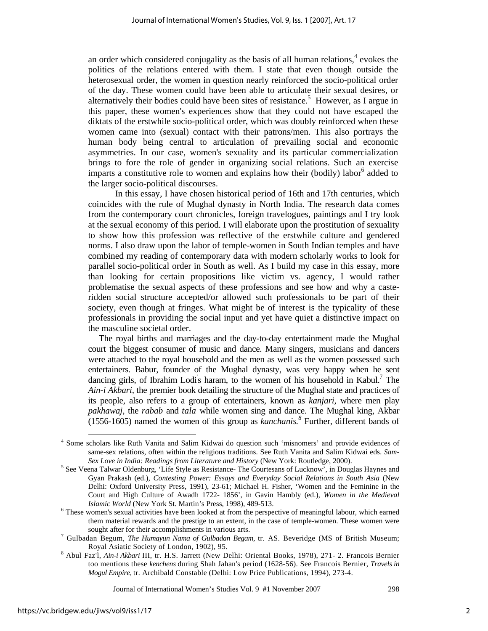an order which considered conjugality as the basis of all human relations, $4$  evokes the politics of the relations entered with them. I state that even though outside the heterosexual order, the women in question nearly reinforced the socio-political order of the day. These women could have been able to articulate their sexual desires, or alternatively their bodies could have been sites of resistance.<sup>5</sup> However, as I argue in this paper, these women's experiences show that they could not have escaped the diktats of the erstwhile socio-political order, which was doubly reinforced when these women came into (sexual) contact with their patrons/men. This also portrays the human body being central to articulation of prevailing social and economic asymmetries. In our case, women's sexuality and its particular commercialization brings to fore the role of gender in organizing social relations. Such an exercise imparts a constitutive role to women and explains how their (bodily) labor<sup>6</sup> added to the larger socio-political discourses.

In this essay, I have chosen historical period of 16th and 17th centuries, which coincides with the rule of Mughal dynasty in North India. The research data comes from the contemporary court chronicles, foreign travelogues, paintings and I try look at the sexual economy of this period. I will elaborate upon the prostitution of sexuality to show how this profession was reflective of the erstwhile culture and gendered norms. I also draw upon the labor of temple-women in South Indian temples and have combined my reading of contemporary data with modern scholarly works to look for parallel socio-political order in South as well. As I build my case in this essay, more than looking for certain propositions like victim vs. agency, I would rather problematise the sexual aspects of these professions and see how and why a casteridden social structure accepted/or allowed such professionals to be part of their society, even though at fringes. What might be of interest is the typicality of these professionals in providing the social input and yet have quiet a distinctive impact on the masculine societal order.

 The royal births and marriages and the day-to-day entertainment made the Mughal court the biggest consumer of music and dance. Many singers, musicians and dancers were attached to the royal household and the men as well as the women possessed such entertainers. Babur, founder of the Mughal dynasty, was very happy when he sent dancing girls, of Ibrahim Lodi's haram, to the women of his household in Kabul.<sup>7</sup> The *Ain-i Akbari,* the premier book detailing the structure of the Mughal state and practices of its people, also refers to a group of entertainers, known as *kanjari,* where men play *pakhawaj,* the *rabab* and *tala* while women sing and dance. The Mughal king, Akbar  $(1556-1605)$  named the women of this group as *kanchanis*.<sup>8</sup> Further, different bands of

 <sup>4</sup> Some scholars like Ruth Vanita and Salim Kidwai do question such 'misnomers' and provide evidences of same-sex relations, often within the religious traditions. See Ruth Vanita and Salim Kidwai eds. *Sam-Sex Love in India: Readings from Literature and History (New York: Routledge, 2000).* 

<sup>&</sup>lt;sup>5</sup> See Veena Talwar Oldenburg, 'Life Style as Resistance- The Courtesans of Lucknow', in Douglas Haynes and Gyan Prakash (ed.), *Contesting Power: Essays and Everyday Social Relations in South Asia* (New Delhi: Oxford University Press, 1991), 23-61; Michael H. Fisher, 'Women and the Feminine in the Court and High Culture of Awadh 1722- 1856', in Gavin Hambly (ed.), *Women in the Medieval Islamic World* (New York St. Martin's Press, 1998), 489-513.

These women's sexual activities have been looked at from the perspective of meaningful labour, which earned them material rewards and the prestige to an extent, in the case of temple-women. These women were sought after for their accomplishments in various arts.

Gulbadan Begum, *The Humayun Nama of Gulbadan Begam,* tr. AS. Beveridge (MS of British Museum; Royal Asiatic Society of London, 1902), 95.

Abul Faz'l, *Ain-i Akbari* III, tr. H.S. Jarrett (New Delhi: Oriental Books, 1978), 271- 2. Francois Bernier too mentions these *kenchens* during Shah Jahan's period (1628-56). See Francois Bernier, *Travels in Mogul Empire,* tr. Archibald Constable (Delhi: Low Price Publications, 1994), 273-4.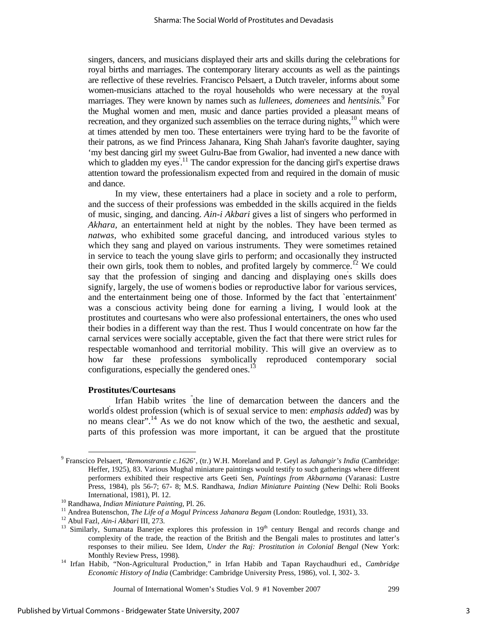singers, dancers, and musicians displayed their arts and skills during the celebrations for royal births and marriages. The contemporary literary accounts as well as the paintings are reflective of these revelries. Francisco Pelsaert, a Dutch traveler, informs about some women-musicians attached to the royal households who were necessary at the royal marriages. They were known by names such as *lullenees, domenees* and *hentsinis.*<sup>9</sup> For the Mughal women and men, music and dance parties provided a pleasant means of recreation, and they organized such assemblies on the terrace during nights, $10$  which were at times attended by men too. These entertainers were trying hard to be the favorite of their patrons, as we find Princess Jahanara, King Shah Jahan's favorite daughter, saying 'my best dancing girl my sweet Gulru-Bae from Gwalior, had invented a new dance with which to gladden my eyes.<sup>11</sup> The candor expression for the dancing girl's expertise draws attention toward the professionalism expected from and required in the domain of music and dance.

In my view, these entertainers had a place in society and a role to perform, and the success of their professions was embedded in the skills acquired in the fields of music, singing, and dancing. *Ain-i Akbari* gives a list of singers who performed in *Akhara,* an entertainment held at night by the nobles. They have been termed as *natwas,* who exhibited some graceful dancing, and introduced various styles to which they sang and played on various instruments. They were sometimes retained in service to teach the young slave girls to perform; and occasionally they instructed their own girls, took them to nobles, and profited largely by commerce.<sup>12</sup> We could say that the profession of singing and dancing and displaying one's skills does signify, largely, the use of women' s bodies or reproductive labor for various services, and the entertainment being one of those. Informed by the fact that `entertainment' was a conscious activity being done for earning a living, I would look at the prostitutes and courtesans who were also professional entertainers, the ones who used their bodies in a different way than the rest. Thus I would concentrate on how far the carnal services were socially acceptable, given the fact that there were strict rules for respectable womanhood and territorial mobility. This will give an overview as to how far these professions symbolically reproduced contemporary social configurations, especially the gendered ones. $^{13}$ 

#### **Prostitutes/Courtesans**

Irfan Habib writes " the line of demarcation between the dancers and the world' s oldest profession (which is of sexual service to men: *emphasis added*) was by no means clear".<sup>14</sup> As we do not know which of the two, the aesthetic and sexual, parts of this profession was more important, it can be argued that the prostitute

 <sup>9</sup> Franscico Pelsaert, *'Remonstrantie c.1626*', (tr.) W.H. Moreland and P. Geyl as *Jahangir's India* (Cambridge: Heffer, 1925), 83. Various Mughal miniature paintings would testify to such gatherings where different performers exhibited their respective arts Geeti Sen, *Paintings from Akbarnama* (Varanasi: Lustre Press, 1984), pls 56-7; 67- 8; M.S. Randhawa, *Indian Miniature Painting* (New Delhi: Roli Books International, 1981), Pl. 12.<br><sup>10</sup> Randhawa, *Indian Miniature Painting*, Pl. 26.<br><sup>11</sup> Andrea Butenschon, *The Life of a Mogul Princess Jahanara Begam* (London: Routledge, 1931), 33.<br><sup>12</sup> Abul Fazl, *Ain-i Akbari* III, 273

complexity of the trade, the reaction of the British and the Bengali males to prostitutes and latter's responses to their milieu. See Idem, *Under the Raj: Prostitution in Colonial Bengal* (New York:

Monthly Review Press, 1998). 14 Irfan Habib, "Non-Agricultural Production," in Irfan Habib and Tapan Raychaudhuri ed., *Cambridge Economic History of India* (Cambridge: Cambridge University Press, 1986), vol. I, 302- 3.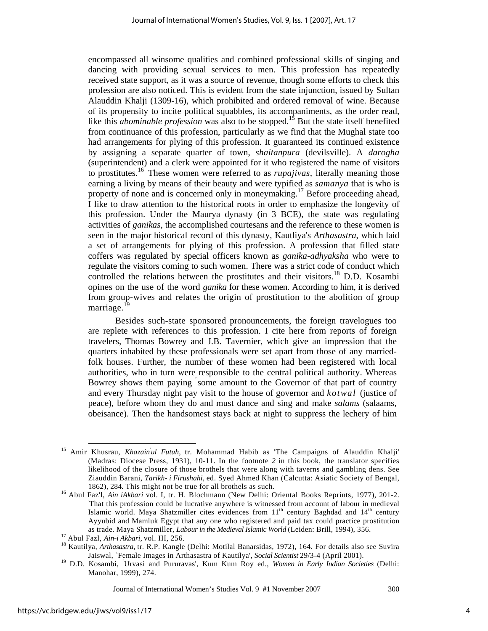encompassed all winsome qualities and combined professional skills of singing and dancing with providing sexual services to men. This profession has repeatedly received state support, as it was a source of revenue, though some efforts to check this profession are also noticed. This is evident from the state injunction, issued by Sultan Alauddin Khalji (1309-16), which prohibited and ordered removal of wine. Because of its propensity to incite political squabbles, its accompaniments, as the order read, like this *abominable profession* was also to be stopped.<sup>15</sup> But the state itself benefited from continuance of this profession, particularly as we find that the Mughal state too had arrangements for plying of this profession. It guaranteed its continued existence by assigning a separate quarter of town, *shaitanpura* (devilsville). A *darogha*  (superintendent) and a clerk were appointed for it who registered the name of visitors to prostitutes.16 These women were referred to as *rupajivas,* literally meaning those earning a living by means of their beauty and were typified as *samanya* that is who is property of none and is concerned only in moneymaking.<sup>17</sup> Before proceeding ahead, I like to draw attention to the historical roots in order to emphasize the longevity of this profession. Under the Maurya dynasty (in 3 BCE), the state was regulating activities of *ganikas,* the accomplished courtesans and the reference to these women is seen in the major historical record of this dynasty, Kautliya's *Arthasastra*, which laid a set of arrangements for plying of this profession. A profession that filled state coffers was regulated by special officers known as *ganika-adhyaksha* who were to regulate the visitors coming to such women. There was a strict code of conduct which controlled the relations between the prostitutes and their visitors.<sup>18</sup> D.D. Kosambi opines on the use of the word *ganika* for these women. According to him, it is derived from group-wives and relates the origin of prostitution to the abolition of group marriage.<sup>19</sup>

Besides such-state sponsored pronouncements, the foreign travelogues too are replete with references to this profession. I cite here from reports of foreign travelers, Thomas Bowrey and J.B. Tavernier, which give an impression that the quarters inhabited by these professionals were set apart from those of any marriedfolk houses. Further, the number of these women had been registered with local authorities, who in turn were responsible to the central political authority. Whereas Bowrey shows them paying " some amount to the Governor of that part of country and every Thursday night pay visit to the house of governor and *kotwal* (justice of peace), before whom they do and must dance and sing and make *salams* (salaams, obeisance). Then the handsomest stays back at night to suppress the lechery of him

<sup>&</sup>lt;sup>15</sup> Amir Khusrau, *Khazain'ul Futuh*, tr. Mohammad Habib as 'The Campaigns of Alauddin Khalji' (Madras: Diocese Press, 1931), 10-11. In the footnote *2* in this book, the translator specifies likelihood of the closure of those brothels that were along with taverns and gambling dens. See Ziauddin Barani, *Tarikh- i Firushahi,* ed. Syed Ahmed Khan (Calcutta: Asiatic Society of Bengal,

<sup>1862), 284</sup>*.* This might not be true for all brothels as such. 16 Abul Faz'l, *Ain iAkbari* vol. I, tr. H. Blochmann (New Delhi: Oriental Books Reprints, 1977), 201-2. *'* That this profession could be lucrative anywhere is witnessed from account of labour in medieval Islamic world. Maya Shatzmiller cites evidences from 11<sup>th</sup> century Baghdad and 14<sup>th</sup> century Ayyubid and Mamluk Egypt that any one who registered and paid tax could practice prostitution as trade. Maya Shatzmiller, *Labour in the Medieval Islamic World* (Leiden: Brill, 1994), 356.<br><sup>17</sup> Abul Fazl, *Ain-i Akbari*, vol. III, 256.<br><sup>18</sup> Kautilya, *Arthasastra*, tr. R.P. Kangle (Delhi: Motilal Banarsidas, 1972),

Jaiswal, `Female Images in Arthasastra of Kautilya', *Social Scientist* 29/3-4 (April 2001). 19 D.D. Kosambi, ` Urvasi and Pururavas', Kum Kum Roy ed., *Women in Early Indian Societies* (Delhi: Manohar, 1999), 274.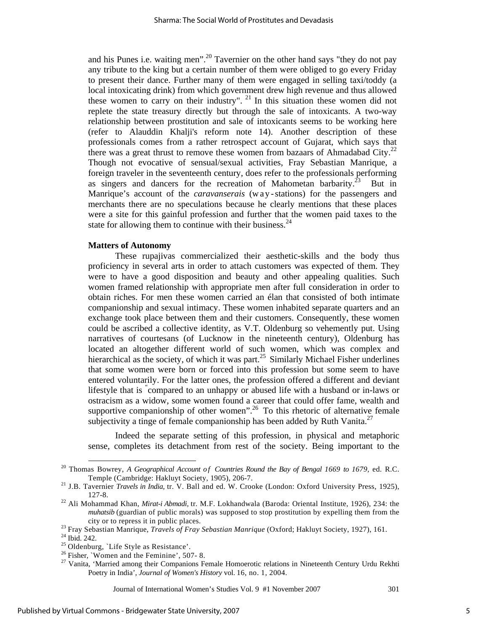and his Punes i.e. waiting men".<sup>20</sup> Tavernier on the other hand says "they do not pay any tribute to the king but a certain number of them were obliged to go every Friday to present their dance. Further many of them were engaged in selling taxi/toddy (a local intoxicating drink) from which government drew high revenue and thus allowed these women to carry on their industry".  $21$  In this situation these women did not replete the state treasury directly but through the sale of intoxicants. A two-way relationship between prostitution and sale of intoxicants seems to be working here (refer to Alauddin Khalji's reform note 14). Another description of these professionals comes from a rather retrospect account of Gujarat, which says that there was a great thrust to remove these women from bazaars of Ahmadabad City.<sup>22</sup> Though not evocative of sensual/sexual activities, Fray Sebastian Manrique, a foreign traveler in the seventeenth century, does refer to the professionals performing as singers and dancers for the recreation of Mahometan barbarity.<sup>23</sup> But in Manrique's account of the *caravanserais* (w ay - stations) for the passengers and merchants there are no speculations because he clearly mentions that these places were a site for this gainful profession and further that the women paid taxes to the state for allowing them to continue with their business. $^{24}$ 

#### **Matters of Autonomy**

These rupajivas commercialized their aesthetic-skills and the body thus proficiency in several arts in order to attach customers was expected of them. They were to have a good disposition and beauty and other appealing qualities. Such women framed relationship with appropriate men after full consideration in order to obtain riches. For men these women carried an élan that consisted of both intimate companionship and sexual intimacy. These women inhabited separate quarters and an exchange took place between them and their customers. Consequently, these women could be ascribed a collective identity, as V.T. Oldenburg so vehemently put. Using narratives of courtesans (of Lucknow in the nineteenth century), Oldenburg has located an altogether different world of such women, which was complex and hierarchical as the society, of which it was part.<sup>25</sup> Similarly Michael Fisher underlines that some women were born or forced into this profession but some seem to have entered voluntarily. For the latter ones, the profession offered a different and deviant lifestyle that is " compared to an unhappy or abused life with a husband or in-laws or ostracism as a widow, some women found a career that could offer fame, wealth and supportive companionship of other women".<sup>26</sup> To this rhetoric of alternative female subjectivity a tinge of female companionship has been added by Ruth Vanita.<sup>27</sup>

Indeed the separate setting of this profession, in physical and metaphoric sense, completes its detachment from rest of the society. Being important to the

<sup>&</sup>lt;sup>20</sup> Thomas Bowrey, *A Geographical Account of Countries Round the Bay of Bengal 1669 to 1679*, ed. R.C. Temple (Cambridge: Hakluyt Society, 1905), 206-7. 21 J.B. Tavernier *Travels in India,* tr. V. Ball and ed. W. Crooke (London: Oxford University Press, 1925),

<sup>127-8. 22</sup> Ali Mohammad Khan, *Mirat-i Abmadi,* tr*.* M.F. Lokhandwala (Baroda: Oriental Institute, 1926), 234: the

*muhatsib* (guardian of public morals) was supposed to stop prostitution by expelling them from the city or to repress it in public places. 23 Fray Sebastian Manrique, *Travels of Fray Sebastian Manrique* (Oxford; Hakluyt Society, 1927), 161. 24 Ibid. 242.

<sup>25</sup> Oldenburg, `Life Style as Resistance'.

<sup>&</sup>lt;sup>26</sup> Fisher, `Women and the Feminine', 507-8.

<sup>&</sup>lt;sup>27</sup> Vanita, 'Married among their Companions Female Homoerotic relations in Nineteenth Century Urdu Rekhti Poetry in India', *Journal of Women's History* vol. 16, no. 1, 2004.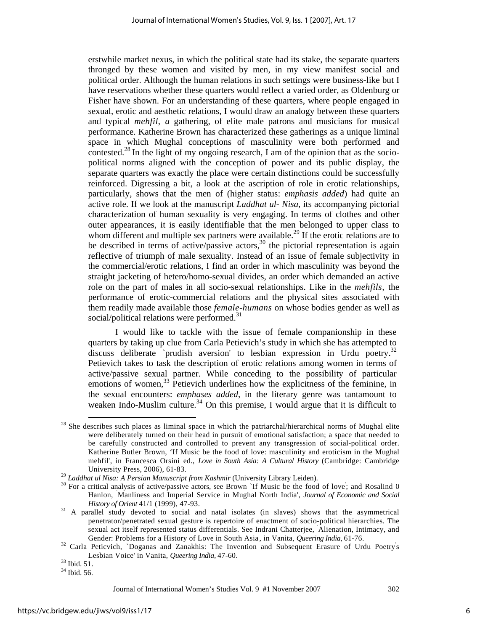erstwhile market nexus, in which the political state had its stake, the separate quarters thronged by these women and visited by men, in my view manifest social and political order. Although the human relations in such settings were business-like but I have reservations whether these quarters would reflect a varied order, as Oldenburg or Fisher have shown. For an understanding of these quarters, where people engaged in sexual, erotic and aesthetic relations, I would draw an analogy between these quarters and typical *mehfil*, *a* gathering, of elite male patrons and musicians for musical performance. Katherine Brown has characterized these gatherings as a unique liminal space in which Mughal conceptions of masculinity were both performed and contested.<sup>28</sup> In the light of my ongoing research, I am of the opinion that as the sociopolitical norms aligned with the conception of power and its public display, the separate quarters was exactly the place were certain distinctions could be successfully reinforced. Digressing a bit, a look at the ascription of role in erotic relationships, particularly, shows that the men of (higher status: *emphasis added*) had quite an active role. If we look at the manuscript *Laddhat ul- Nisa*, its accompanying pictorial characterization of human sexuality is very engaging. In terms of clothes and other outer appearances, it is easily identifiable that the men belonged to upper class to whom different and multiple sex partners were available.<sup>29</sup> If the erotic relations are to be described in terms of active/passive actors,  $30$  the pictorial representation is again reflective of triumph of male sexuality. Instead of an issue of female subjectivity in the commercial/erotic relations, I find an order in which masculinity was beyond the straight jacketing of hetero/homo-sexual divides, an order which demanded an active role on the part of males in all socio-sexual relationships. Like in the *mehfils,* the performance of erotic-commercial relations and the physical sites associated with them readily made available those *female-humans* on whose bodies gender as well as social/political relations were performed.<sup>31</sup>

I would like to tackle with the issue of female companionship in these quarters by taking up clue from Carla Petievich's study in which she has attempted to discuss deliberate `prudish aversion' to lesbian expression in Urdu poetry.<sup>32</sup> Petievich takes to task the description of erotic relations among women in terms of active/passive sexual partner. While conceding to the possibility of particular emotions of women,<sup>33</sup> Petievich underlines how the explicitness of the feminine, in the sexual encounters: *emphases added*, in the literary genre was tantamount to weaken Indo-Muslim culture.<sup>34</sup> On this premise, I would argue that it is difficult to

 $28$  She describes such places as liminal space in which the patriarchal/hierarchical norms of Mughal elite were deliberately turned on their head in pursuit of emotional satisfaction; a space that needed to be carefully constructed and controlled to prevent any transgression of social-political order. Katherine Butler Brown, 'If Music be the food of love: masculinity and eroticism in the Mughal mehfil', in Francesca Orsini ed., *Love in South Asia: A Cultural History* (Cambridge: Cambridge University Press, 2006), 61-83.<br><sup>29</sup> *Laddhat ul Nisa: A Persian Manuscript from Kashmir* (University Library Leiden).

 $30$  For a critical analysis of active/passive actors, see Brown 'If Music be the food of love; and Rosalind 0 Hanlon, ` Manliness and Imperial Service in Mughal North India', *Journal of Economic and Social History of Orient* 41/1 (1999), 47-93.<br><sup>31</sup> A parallel study devoted to social and natal isolates (in slaves) shows that the asymmetrical

penetrator/penetrated sexual gesture is repertoire of enactment of socio-political hierarchies. The sexual act itself represented status differentials. See Indrani Chatterjee, ` Alienation, Intimacy, and Gender: Problems for a History of Love in South Asia, in Vanita, Queering India, 61-76.

Gender: Problems for a History of Love in South Asia, in Vanita, *Queering India*, 61-76.<br><sup>32</sup> Carla Peticvich, `Doganas and Zanakhis: The Invention and Subsequent Erasure of Urdu Poetry's Lesbian Voice' in Vanita, *Queering India,* 47-60. 33 Ibid. 51.

 $34$  Ibid. 56.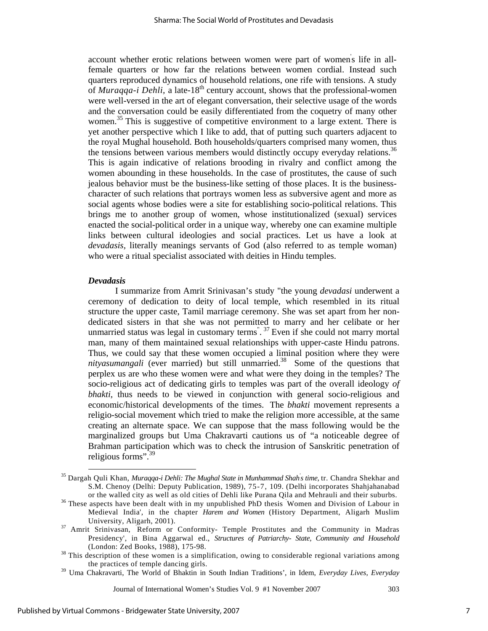account whether erotic relations between women were part of women's life in allfemale quarters or how far the relations between women cordial. Instead such quarters reproduced dynamics of household relations, one rife with tensions. A study of *Muraqqa-i Dehli*, a late-18<sup>th</sup> century account, shows that the professional-women were well-versed in the art of elegant conversation, their selective usage of the words and the conversation could be easily differentiated from the coquetry of many other women.<sup>35</sup> This is suggestive of competitive environment to a large extent. There is yet another perspective which I like to add, that of putting such quarters adjacent to the royal Mughal household. Both households/quarters comprised many women, thus the tensions between various members would distinctly occupy everyday relations.<sup>36</sup> This is again indicative of relations brooding in rivalry and conflict among the women abounding in these households. In the case of prostitutes, the cause of such jealous behavior must be the business-like setting of those places. It is the businesscharacter of such relations that portrays women less as subversive agent and more as social agents whose bodies were a site for establishing socio-political relations. This brings me to another group of women, whose institutionalized (sexual) services enacted the social-political order in a unique way, whereby one can examine multiple links between cultural ideologies and social practices. Let us have a look at *devadasis,* literally meanings servants of God (also referred to as temple woman) who were a ritual specialist associated with deities in Hindu temples.

#### *Devadasis*

I summarize from Amrit Srinivasan's study "the young *devadasi* underwent a ceremony of dedication to deity of local temple, which resembled in its ritual structure the upper caste, Tamil marriage ceremony. She was set apart from her nondedicated sisters in that she was not permitted to marry and her celibate or her unmarried status was legal in customary terms".  $37$  Even if she could not marry mortal man, many of them maintained sexual relationships with upper-caste Hindu patrons. Thus, we could say that these women occupied a liminal position where they were *nityasumangali* (ever married) but still unmarried.<sup>38</sup> Some of the questions that perplex us are who these women were and what were they doing in the temples? The socio-religious act of dedicating girls to temples was part of the overall ideology *of bhakti*, thus needs to be viewed in conjunction with general socio-religious and economic/historical developments of the times. The *bhakti* movement represents a religio-social movement which tried to make the religion more accessible, at the same creating an alternate space. We can suppose that the mass following would be the marginalized groups but Uma Chakravarti cautions us of "a noticeable degree of Brahman participation which was to check the intrusion of Sanskritic penetration of religious forms".<sup>39</sup>

<sup>&</sup>lt;sup>35</sup> Dargah Quli Khan, *Muraqqa-i Dehli: The Mughal State in Munhammad Shah<sup>'</sup>s time, tr. Chandra Shekhar and* S.M. Chenoy (Delhi: Deputy Publication, 1989), 75-7, 109. (Delhi incorporates Shahjahanabad or the walled city as well as old cities of Dehli like Purana Qila and Mehrauli and their suburbs.<br><sup>36</sup> These aspects have been dealt with in my unpublished PhD thesis `Women and Division of Labour in

Medieval India', in the chapter *Harem and Women* (History Department, Aligarh Muslim

University, Aligarh, 2001).<br><sup>37</sup> Amrit Srinivasan, Reform or Conformity- Temple Prostitutes and the Community in Madras Presidency', in Bina Aggarwal ed., *Structures of Patriarchy- State, Community and Household* 

<sup>(</sup>London: Zed Books, 1988), 175-98.<br><sup>38</sup> This description of these women is a simplification, owing to considerable regional variations among

the practices of temple dancing girls. 39 Uma Chakravarti, The World of Bhaktin in South Indian Traditions', in Idem, *Everyday Lives, Everyday*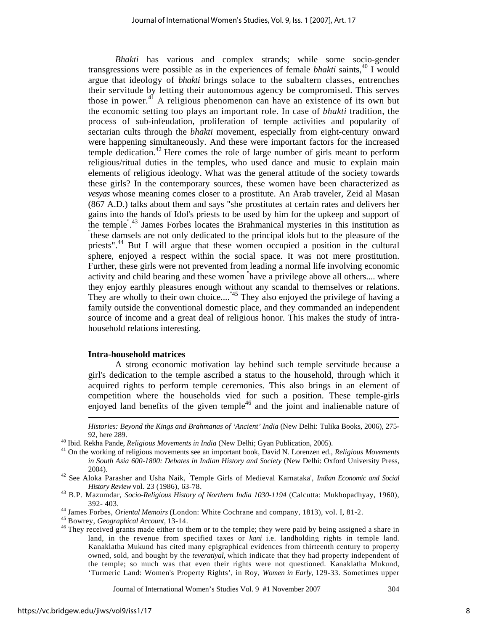*Bhakti* has various and complex strands; while some socio-gender transgressions were possible as in the experiences of female *bhakti* saints,<sup>40</sup> I would argue that ideology of *bhakti* brings solace to the subaltern classes, entrenches their servitude by letting their autonomous agency be compromised. This serves those in power.<sup>41</sup> A religious phenomenon can have an existence of its own but the economic setting too plays an important role. In case of *bhakti* tradition, the process of sub-infeudation, proliferation of temple activities and popularity of sectarian cults through the *bhakti* movement, especially from eight-century onward were happening simultaneously. And these were important factors for the increased temple dedication.<sup>42</sup> Here comes the role of large number of girls meant to perform religious/ritual duties in the temples, who used dance and music to explain main elements of religious ideology. What was the general attitude of the society towards these girls? In the contemporary sources, these women have been characterized as *vesyas* whose meaning comes closer to a prostitute. An Arab traveler, Zeid al Masan (867 A.D.) talks about them and says "she prostitutes at certain rates and delivers her gains into the hands of Idol's priests to be used by him for the upkeep and support of the temple<sup>", 43</sup> James Forbes locates the Brahmanical mysteries in this institution as  $\ddot{ }$ "these demonstration are not only dedicated to the principal idea but to the placeure of the these damsels are not only dedicated to the principal idols but to the pleasure of the priests".<sup>44</sup> But I will argue that these women occupied a position in the cultural sphere, enjoyed a respect within the social space. It was not mere prostitution. Further, these girls were not prevented from leading a normal life involving economic activity and child bearing and these women " have a privilege above all others.... where they enjoy earthly pleasures enough without any scandal to themselves or relations. They are wholly to their own choice...."<sup>45</sup> They also enjoyed the privilege of having a family outside the conventional domestic place, and they commanded an independent source of income and a great deal of religious honor. This makes the study of intrahousehold relations interesting.

#### **Intra-household matrices**

A strong economic motivation lay behind such temple servitude because a girl's dedication to the temple ascribed a status to the household, through which it acquired rights to perform temple ceremonies. This also brings in an element of competition where the households vied for such a position. These temple-girls enjoyed land benefits of the given temple<sup>46</sup> and the joint and inalienable nature of

*Histories: Beyond the Kings and Brahmanas of 'Ancient' India* (New Delhi: Tulika Books, 2006), 275-

Journal of International Women's Studies Vol. 9 #1 November 2007 304

 $\overline{\phantom{a}}$ 

<sup>92,</sup> here 289. 40 Ibid. Rekha Pande, *Religious Movements in India* (New Delhi; Gyan Publication, 2005). 41 On the working of religious movements see an important book, David N. Lorenzen ed., *Religious Movements in South Asia 600-1800: Debates in Indian History and Society* (New Delhi: Oxford University Press, 2004). 42 See Aloka Parasher and Usha Naik, ` Temple Girls of Medieval Karnataka', *Indian Economic and Social* 

*History Review* vol. 23 (1986), 63-78. 43 B.P. Mazumdar, *Socio-Religious History of Northern India 1030-1194* (Calcutta: Mukhopadhyay, 1960),

<sup>392- 403.&</sup>lt;br><sup>44</sup> James Forbes, *Oriental Memoirs* (London: White Cochrane and company, 1813), vol. I, 81-2.<br><sup>45</sup> Bowrey, *Geographical Account*, 13-14.<br><sup>46</sup> They received grants made either to them or to the temple; they wer land, in the revenue from specified taxes or *kani* i.e. landholding rights in temple land. Kanaklatha Mukund has cited many epigraphical evidences from thirteenth century to property owned, sold, and bought by the *teveratiyal,* which indicate that they had property independent of the temple; so much was that even their rights were not questioned. Kanaklatha Mukund, 'Turmeric Land: Women's Property Rights', in Roy, *Women in Early,* 129-33. Sometimes upper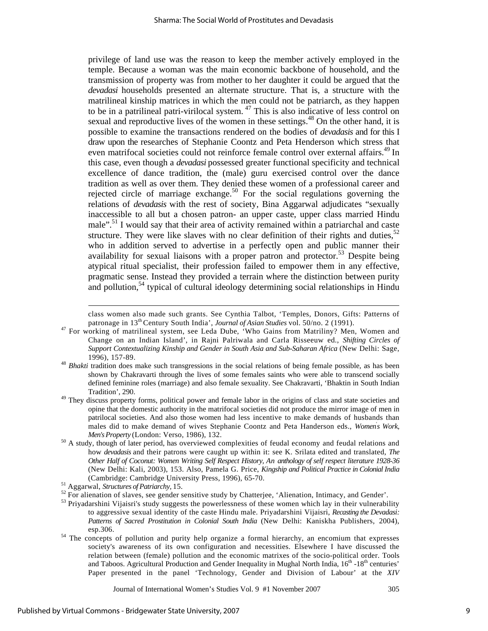privilege of land use was the reason to keep the member actively employed in the temple. Because a woman was the main economic backbone of household, and the transmission of property was from mother to her daughter it could be argued that the *devadasi* households presented an alternate structure. That is, a structure with the matrilineal kinship matrices in which the men could not be patriarch, as they happen to be in a patrilineal patri-virilocal system.  $47$  This is also indicative of less control on sexual and reproductive lives of the women in these settings.<sup>48</sup> On the other hand, it is possible to examine the transactions rendered on the bodies of *devadasis* and for this I draw upon the researches of Stephanie Coontz and Peta Henderson which stress that even matrifocal societies could not reinforce female control over external affairs.<sup>49</sup> In this case, even though a *devadasi* possessed greater functional specificity and technical excellence of dance tradition, the (male) guru exercised control over the dance tradition as well as over them. They denied these women of a professional career and rejected circle of marriage exchange.<sup>50</sup> For the social regulations governing the relations of *devadasis* with the rest of society, Bina Aggarwal adjudicates "sexually inaccessible to all but a chosen patron- an upper caste, upper class married Hindu male".<sup>51</sup> I would say that their area of activity remained within a patriarchal and caste structure. They were like slaves with no clear definition of their rights and duties, $52$ who in addition served to advertise in a perfectly open and public manner their availability for sexual liaisons with a proper patron and protector.<sup>53</sup> Despite being atypical ritual specialist, their profession failed to empower them in any effective, pragmatic sense. Instead they provided a terrain where the distinction between purity and pollution,<sup>54</sup> typical of cultural ideology determining social relationships in Hindu

class women also made such grants. See Cynthia Talbot, 'Temples, Donors, Gifts: Patterns of

- patronage in 13<sup>th</sup> Century South India', *Journal of Asian Studies* vol. 50/no. 2 (1991).<br><sup>47</sup> For working of matrilineal system, see Leda Dube, 'Who Gains from Matriliny? Men, Women and Change on an Indian Island', in Rajni Palriwala and Carla Risseeuw ed., *Shifting Circles of Support Contextualizing Kinship and Gender in South Asia and Sub-Saharan Africa* (New Delhi: Sage,
- 1996), 157-89. 48 *Bhakti* tradition does make such transgressions in the social relations of being female possible, as has been shown by Chakravarti through the lives of some females saints who were able to transcend socially defined feminine roles (marriage) and also female sexuality. See Chakravarti, 'Bhaktin in South Indian Tradition', 290. 49 They discuss property forms, political power and female labor in the origins of class and state societies and
- opine that the domestic authority in the matrifocal societies did not produce the mirror image of men in patrilocal societies. And also those women had less incentive to make demands of husbands than males did to make demand of wives Stephanie Coontz and Peta Handerson eds., *Women*' *s Work, Men's Property* (London: Verso, 1986), 132.<br><sup>50</sup> A study, though of later period, has overviewed complexities of feudal economy and feudal relations and
- how *devadasis* and their patrons were caught up within it: see K. Srilata edited and translated, *The Other Half of Coconut: Women Writing Self Respect History, An anthology of self respect literature 1928-36*  (New Delhi: Kali, 2003), 153. Also, Pamela G. Price, *Kingship and Political Practice in Colonial India*  (Cambridge: Cambridge University Press, 1996), 65-70. 51 Aggarwal, *Structures of Patriarchy,* 15. 52 For alienation of slaves, see gender sensitive study by Chatterjee, 'Alienation, Intimacy, and Gender'.

esp.306. 54 The concepts of pollution and purity help organize a formal hierarchy, an encomium that expresses society's awareness of its own configuration and necessities. Elsewhere I have discussed the relation between (female) pollution and the economic matrixes of the socio-political order. Tools and Taboos. Agricultural Production and Gender Inequality in Mughal North India,  $16<sup>th</sup>$  -18<sup>th</sup> centuries' Paper presented in the panel 'Technology, Gender and Division of Labour' at the *XIV* 

<sup>53</sup> Priyadarshini Vijaisri's study suggests the powerlessness of these women which lay in their vulnerability to aggressive sexual identity of the caste Hindu male. Priyadarshini Vijaisri, *Recasting the Devadasi:*  Patterns of Sacred Prostitution in Colonial South India (New Delhi: Kaniskha Publishers, 2004),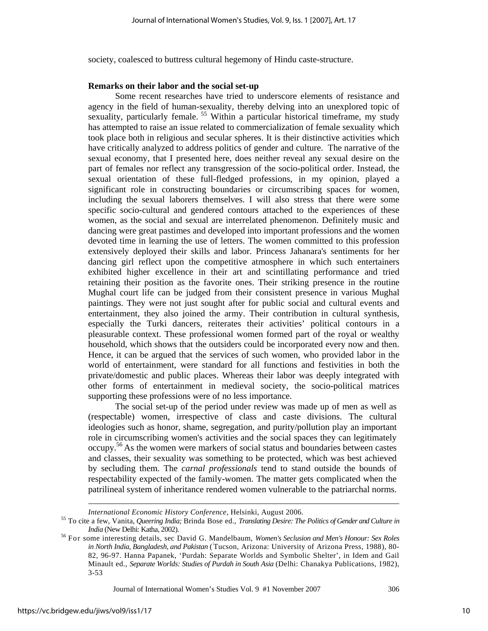society, coalesced to buttress cultural hegemony of Hindu caste-structure.

#### **Remarks on their labor and the social set-up**

Some recent researches have tried to underscore elements of resistance and agency in the field of human-sexuality, thereby delving into an unexplored topic of sexuality, particularly female.<sup>55</sup> Within a particular historical timeframe, my study has attempted to raise an issue related to commercialization of female sexuality which took place both in religious and secular spheres. It is their distinctive activities which have critically analyzed to address politics of gender and culture. The narrative of the sexual economy, that I presented here, does neither reveal any sexual desire on the part of females nor reflect any transgression of the socio-political order. Instead, the sexual orientation of these full-fledged professions, in my opinion, played a significant role in constructing boundaries or circumscribing spaces for women, including the sexual laborers themselves. I will also stress that there were some specific socio-cultural and gendered contours attached to the experiences of these women, as the social and sexual are interrelated phenomenon. Definitely music and dancing were great pastimes and developed into important professions and the women devoted time in learning the use of letters. The women committed to this profession extensively deployed their skills and labor. Princess Jahanara's sentiments for her dancing girl reflect upon the competitive atmosphere in which such entertainers exhibited higher excellence in their art and scintillating performance and tried retaining their position as the favorite ones. Their striking presence in the routine Mughal court life can be judged from their consistent presence in various Mughal paintings. They were not just sought after for public social and cultural events and entertainment, they also joined the army. Their contribution in cultural synthesis, especially the Turki dancers, reiterates their activities' political contours in a pleasurable context. These professional women formed part of the royal or wealthy household, which shows that the outsiders could be incorporated every now and then. Hence, it can be argued that the services of such women, who provided labor in the world of entertainment, were standard for all functions and festivities in both the private/domestic and public places. Whereas their labor was deeply integrated with other forms of entertainment in medieval society, the socio-political matrices supporting these professions were of no less importance.

The social set-up of the period under review was made up of men as well as (respectable) women, irrespective of class and caste divisions. The cultural ideologies such as honor, shame, segregation, and purity/pollution play an important role in circumscribing women's activities and the social spaces they can legitimately occupy.56 As the women were markers of social status and boundaries between castes and classes, their sexuality was something to be protected, which was best achieved by secluding them. The *carnal professionals* tend to stand outside the bounds of respectability expected of the family-women. The matter gets complicated when the patrilineal system of inheritance rendered women vulnerable to the patriarchal norms.

Journal of International Women's Studies Vol. 9 #1 November 2007 306

 $\overline{a}$ 

*International Economic History Conference*, Helsinki, August 2006.<br><sup>55</sup> To cite a few, Vanita, Queering India; Brinda Bose ed., *Translating Desire: The Politics of Gender and Culture in* 

*India* (New Delhi: Katha, 2002).<br><sup>56</sup> For some interesting details, sec David G. Mandelbaum, *Women's Seclusion and Men's Honour: Sex Roles in North India, Bangladesh, and Pakistan* ( *'* Tucson, Arizona: University of Arizona Press, 1988), 80- 82, 96-97. Hanna Papanek, 'Purdah: Separate Worlds and Symbolic Shelter', in Idem and Gail Minault ed., *Separate Worlds: Studies of Purdah in South Asia* (Delhi: Chanakya Publications, 1982), 3-53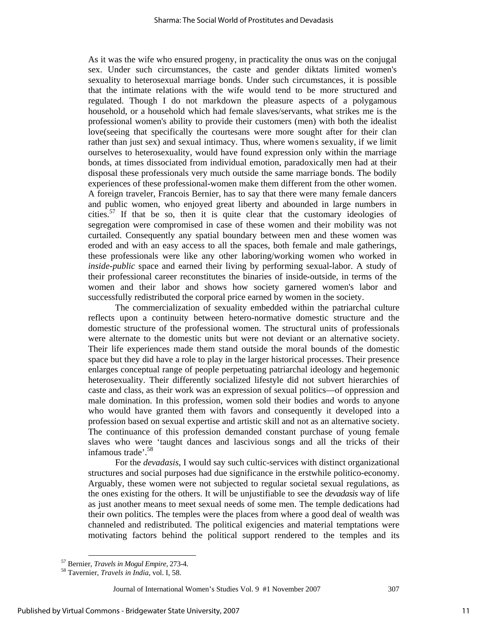As it was the wife who ensured progeny, in practicality the onus was on the conjugal sex. Under such circumstances, the caste and gender diktats limited women's sexuality to heterosexual marriage bonds. Under such circumstances, it is possible that the intimate relations with the wife would tend to be more structured and regulated. Though I do not markdown the pleasure aspects of a polygamous household, or a household which had female slaves/servants, what strikes me is the professional women's ability to provide their customers (men) with both the idealist love(seeing that specifically the courtesans were more sought after for their clan rather than just sex) and sexual intimacy. Thus, where women' s sexuality, if we limit ourselves to heterosexuality, would have found expression only within the marriage bonds, at times dissociated from individual emotion, paradoxically men had at their disposal these professionals very much outside the same marriage bonds. The bodily experiences of these professional-women make them different from the other women. A foreign traveler, Francois Bernier, has to say that there were many female dancers and public women, who enjoyed great liberty and abounded in large numbers in cities.<sup>57</sup> If that be so, then it is quite clear that the customary ideologies of segregation were compromised in case of these women and their mobility was not curtailed. Consequently any spatial boundary between men and these women was eroded and with an easy access to all the spaces, both female and male gatherings, these professionals were like any other laboring/working women who worked in *inside-public* space and earned their living by performing sexual-labor. A study of their professional career reconstitutes the binaries of inside-outside, in terms of the women and their labor and shows how society garnered women's labor and successfully redistributed the corporal price earned by women in the society.

The commercialization of sexuality embedded within the patriarchal culture reflects upon a continuity between hetero-normative domestic structure and the domestic structure of the professional women. The structural units of professionals were alternate to the domestic units but were not deviant or an alternative society. Their life experiences made them stand outside the moral bounds of the domestic space but they did have a role to play in the larger historical processes. Their presence enlarges conceptual range of people perpetuating patriarchal ideology and hegemonic heterosexuality. Their differently socialized lifestyle did not subvert hierarchies of caste and class, as their work was an expression of sexual politics—of oppression and male domination. In this profession, women sold their bodies and words to anyone who would have granted them with favors and consequently it developed into a profession based on sexual expertise and artistic skill and not as an alternative society. The continuance of this profession demanded constant purchase of young female slaves who were 'taught dances and lascivious songs and all the tricks of their infamous trade'.<sup>58</sup>

For the *devadasis*, I would say such cultic-services with distinct organizational structures and social purposes had due significance in the erstwhile politico-economy. Arguably, these women were not subjected to regular societal sexual regulations, as the ones existing for the others. It will be unjustifiable to see the *devadasis* way of life as just another means to meet sexual needs of some men. The temple dedications had their own politics. The temples were the places from where a good deal of wealth was channeled and redistributed. The political exigencies and material temptations were motivating factors behind the political support rendered to the temples and its

 <sup>57</sup> Bernier, *Travels in Mogul Empire*, 273-4. 58 Tavernier, *Travels in India*, vol. I, 58.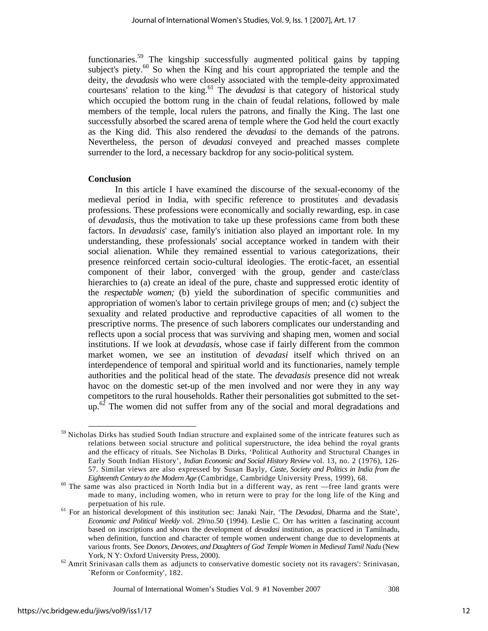functionaries.59 The kingship successfully augmented political gains by tapping subject's piety.<sup>60</sup> So when the King and his court appropriated the temple and the deity, the *devadasis* who were closely associated with the temple-deity approximated courtesans' relation to the king.<sup>61</sup> The *devadasi* is that category of historical study which occupied the bottom rung in the chain of feudal relations, followed by male members of the temple, local rulers the patrons, and finally the King. The last one successfully absorbed the scared arena of temple where the God held the court exactly as the King did. This also rendered the *devadasi* to the demands of the patrons. Nevertheless, the person of *devadasi* conveyed and preached masses complete surrender to the lord, a necessary backdrop for any socio-political system.

#### **Conclusion**

In this article I have examined the discourse of the sexual-economy of the medieval period in India, with specific reference to prostitutes' and devadasis' professions. These professions were economically and socially rewarding, esp. in case of *devadasis*, thus the motivation to take up these professions came from both these factors. In *devadasis*' case, family's initiation also played an important role. In my understanding, these professionals' social acceptance worked in tandem with their social alienation. While they remained essential to various categorizations, their presence reinforced certain socio-cultural ideologies. The erotic-facet, an essential component of their labor, converged with the group, gender and caste/class hierarchies to (a) create an ideal of the pure, chaste and suppressed erotic identity of the *respectable women;* (b) yield the subordination of specific communities and appropriation of women's labor to certain privilege groups of men; and (c) subject the sexuality and related productive and reproductive capacities of all women to the prescriptive norms. The presence of such laborers complicates our understanding and reflects upon a social process that was surviving and shaping men, women and social institutions. If we look at *devadasis*, whose case if fairly different from the common market women, we see an institution of *devadasi* itself which thrived on an interdependence of temporal and spiritual world and its functionaries, namely temple authorities and the political head of the state. The *devadasis* presence did not wreak havoc on the domestic set-up of the men involved and nor were they in any way competitors to the rural households. Rather their personalities got submitted to the setup.<sup>62</sup> The women did not suffer from any of the social and moral degradations and

<sup>&</sup>lt;sup>59</sup> Nicholas Dirks has studied South Indian structure and explained some of the intricate features such as relations between social structure and political superstructure, the idea behind the royal grants and the efficacy of rituals. See Nicholas B Dirks, 'Political Authority and Structural Changes in Early South Indian History', *Indian Economic and Social History Review* vol. 13, no. 2 (1976), 126- 57. Similar views are also expressed by Susan Bayly, *Caste, Society and Politics in India from the Eighteenth Century to the Modern Age* (Cambridge, Cambridge University Press, 1999), 68.<br><sup>60</sup> The same was also practiced in North India but in a different way, as rent —free land grants were

made to many, including women, who in return were to pray for the long life of the King and perpetuation of his rule. 61 For an historical development of this institution sec: Janaki Nair, 'The *Devadasi,* Dharma and the State',

*Economic and Political Weekly* vol. 29/no.50 (1994). Leslie C. Orr has written a fascinating account based on inscriptions and shown the development of *devadasi* institution, as practiced in Tamilnadu, when definition, function and character of temple women underwent change due to developments at various fronts. See *Donors, Devotees, and Daughters of God. Temple Women in Medieval Tamil Nadu* (New York, N Y: Oxford University Press, 2000).<br><sup>62</sup> Amrit Srinivasan calls them as `adjuncts to conservative domestic society not its ravagers': Srinivasan,

<sup>`</sup>Reform or Conformity', 182.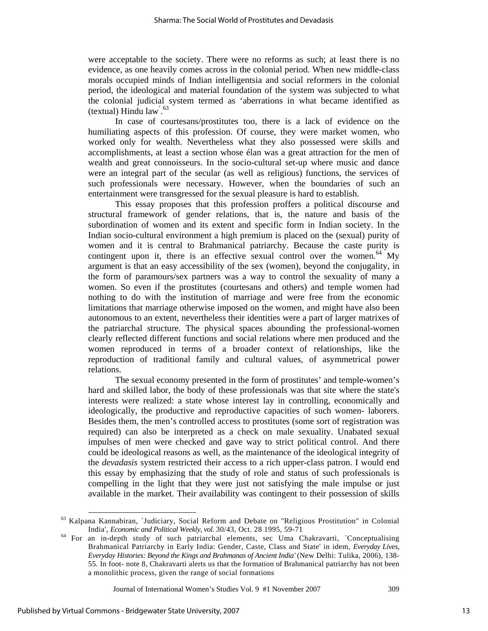were acceptable to the society. There were no reforms as such; at least there is no evidence, as one heavily comes across in the colonial period. When new middle-class morals occupied minds of Indian intelligentsia and social reformers in the colonial period, the ideological and material foundation of the system was subjected to what the colonial judicial system termed as 'aberrations in what became identified as (textual) Hindu law' . 63

In case of courtesans/prostitutes too, there is a lack of evidence on the humiliating aspects of this profession. Of course, they were market women, who worked only for wealth. Nevertheless what they also possessed were skills and accomplishments, at least a section whose élan was a great attraction for the men of wealth and great connoisseurs. In the socio-cultural set-up where music and dance were an integral part of the secular (as well as religious) functions, the services of such professionals were necessary. However, when the boundaries of such an entertainment were transgressed for the sexual pleasure is hard to establish.

This essay proposes that this profession proffers a political discourse and structural framework of gender relations, that is, the nature and basis of the subordination of women and its extent and specific form in Indian society. In the Indian socio-cultural environment a high premium is placed on the (sexual) purity of women and it is central to Brahmanical patriarchy. Because the caste purity is contingent upon it, there is an effective sexual control over the women.<sup>64</sup> My argument is that an easy accessibility of the sex (women), beyond the conjugality, in the form of paramours/sex partners was a way to control the sexuality of many a women. So even if the prostitutes (courtesans and others) and temple women had nothing to do with the institution of marriage and were free from the economic limitations that marriage otherwise imposed on the women, and might have also been autonomous to an extent, nevertheless their identities were a part of larger matrixes of the patriarchal structure. The physical spaces abounding the professional-women clearly reflected different functions and social relations where men produced and the women reproduced in terms of a broader context of relationships, like the reproduction of traditional family and cultural values, of asymmetrical power relations.

The sexual economy presented in the form of prostitutes' and temple-women's hard and skilled labor, the body of these professionals was that site where the state's interests were realized: a state whose interest lay in controlling, economically and ideologically, the productive and reproductive capacities of such women- laborers. Besides them, the men's controlled access to prostitutes (some sort of registration was required) can also be interpreted as a check on male sexuality. Unabated sexual impulses of men were checked and gave way to strict political control. And there could be ideological reasons as well, as the maintenance of the ideological integrity of the *devadasis* system restricted their access to a rich upper-class patron. I would end this essay by emphasizing that the study of role and status of such professionals is compelling in the light that they were just not satisfying the male impulse or just available in the market. Their availability was contingent to their possession of skills

 <sup>63</sup> Kalpana Kannabiran, `Judiciary, Social Reform and Debate on "Religious Prostitution" in Colonial

India', *Economic and Political Weekly, vol.* 30/43, Oct. 28 1995, 59-71 For an in-depth study of such patriarchal elements, sec Uma Chakravarti, `Conceptualising Brahmanical Patriarchy in Early India: Gender, Caste, Class and State' in idem, *Everyday Lives, Everyday Histories: Beyond the Kings and Brahmanas of Ancient India'* (New Delhi: Tulika, 2006), 138- 55. In foot- note 8, Chakravarti alerts us that the formation of Brahmanical patriarchy has not been a monolithic process, given the range of social formations